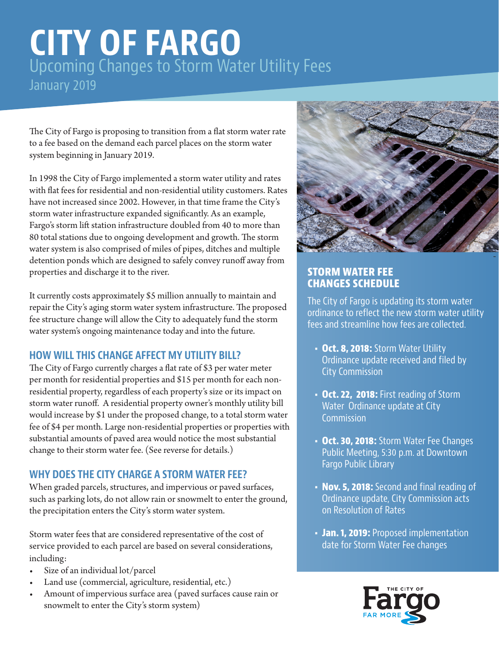# **CITY OF FARGO** Upcoming Changes to Storm Water Utility Fees January 2019

The City of Fargo is proposing to transition from a flat storm water rate to a fee based on the demand each parcel places on the storm water system beginning in January 2019.

In 1998 the City of Fargo implemented a storm water utility and rates with flat fees for residential and non-residential utility customers. Rates have not increased since 2002. However, in that time frame the City's storm water infrastructure expanded significantly. As an example, Fargo's storm lift station infrastructure doubled from 40 to more than 80 total stations due to ongoing development and growth. The storm water system is also comprised of miles of pipes, ditches and multiple detention ponds which are designed to safely convey runoff away from properties and discharge it to the river.

It currently costs approximately \$5 million annually to maintain and repair the City's aging storm water system infrastructure. The proposed fee structure change will allow the City to adequately fund the storm water system's ongoing maintenance today and into the future.

### **HOW WILL THIS CHANGE AFFECT MY UTILITY BILL?**

The City of Fargo currently charges a flat rate of \$3 per water meter per month for residential properties and \$15 per month for each nonresidential property, regardless of each property's size or its impact on storm water runoff. A residential property owner's monthly utility bill would increase by \$1 under the proposed change, to a total storm water fee of \$4 per month. Large non-residential properties or properties with substantial amounts of paved area would notice the most substantial change to their storm water fee. (See reverse for details.)

### **WHY DOES THE CITY CHARGE A STORM WATER FEE?**

When graded parcels, structures, and impervious or paved surfaces, such as parking lots, do not allow rain or snowmelt to enter the ground, the precipitation enters the City's storm water system.

Storm water fees that are considered representative of the cost of service provided to each parcel are based on several considerations, including:

- Size of an individual lot/parcel
- Land use (commercial, agriculture, residential, etc.)
- Amount of impervious surface area (paved surfaces cause rain or snowmelt to enter the City's storm system)



#### **STORM WATER FEE CHANGES SCHEDULE**

The City of Fargo is updating its storm water ordinance to reflect the new storm water utility fees and streamline how fees are collected.

- **• Oct. 8, 2018:** Storm Water Utility Ordinance update received and filed by City Commission
- **• Oct. 22, 2018:** First reading of Storm Water Ordinance update at City **Commission**
- **• Oct. 30, 2018:** Storm Water Fee Changes Public Meeting, 5:30 p.m. at Downtown Fargo Public Library
- **• Nov. 5, 2018:** Second and final reading of Ordinance update, City Commission acts on Resolution of Rates
- **• Jan. 1, 2019:** Proposed implementation date for Storm Water Fee changes